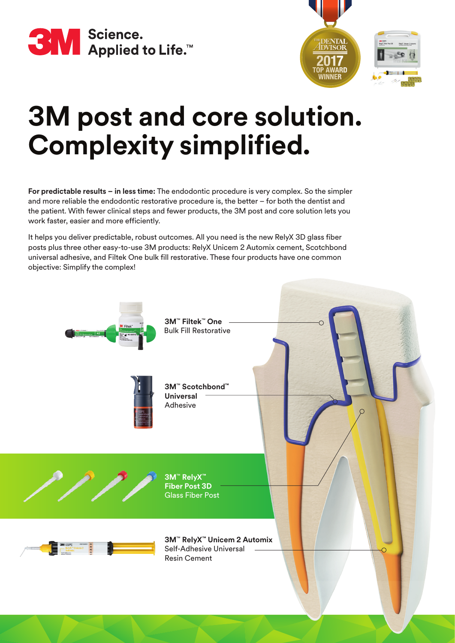



# **3M post and core solution. Complexity simplified.**

**For predictable results – in less time:** The endodontic procedure is very complex. So the simpler and more reliable the endodontic restorative procedure is, the better – for both the dentist and the patient. With fewer clinical steps and fewer products, the 3M post and core solution lets you work faster, easier and more efficiently.

It helps you deliver predictable, robust outcomes. All you need is the new RelyX 3D glass fiber posts plus three other easy-to-use 3M products: RelyX Unicem 2 Automix cement, Scotchbond universal adhesive, and Filtek One bulk fill restorative. These four products have one common objective: Simplify the complex!